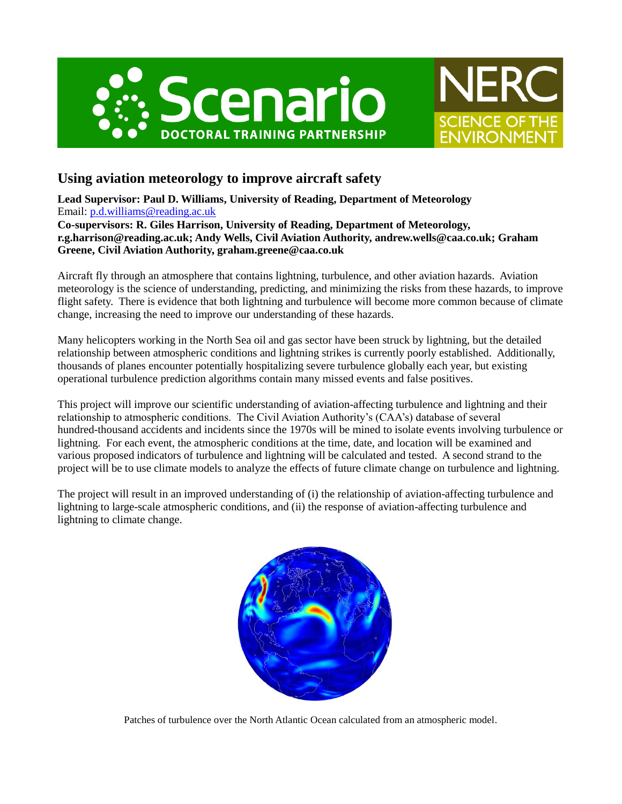



## **Using aviation meteorology to improve aircraft safety**

**Lead Supervisor: Paul D. Williams, University of Reading, Department of Meteorology** Email: [p.d.williams@reading.ac.uk](mailto:p.d.williams@reading.ac.uk) **Co-supervisors: R. Giles Harrison, University of Reading, Department of Meteorology, r.g.harrison@reading.ac.uk; Andy Wells, Civil Aviation Authority, andrew.wells@caa.co.uk; Graham Greene, Civil Aviation Authority, graham.greene@caa.co.uk**

Aircraft fly through an atmosphere that contains lightning, turbulence, and other aviation hazards. Aviation meteorology is the science of understanding, predicting, and minimizing the risks from these hazards, to improve flight safety. There is evidence that both lightning and turbulence will become more common because of climate change, increasing the need to improve our understanding of these hazards.

Many helicopters working in the North Sea oil and gas sector have been struck by lightning, but the detailed relationship between atmospheric conditions and lightning strikes is currently poorly established. Additionally, thousands of planes encounter potentially hospitalizing severe turbulence globally each year, but existing operational turbulence prediction algorithms contain many missed events and false positives.

This project will improve our scientific understanding of aviation-affecting turbulence and lightning and their relationship to atmospheric conditions. The Civil Aviation Authority's (CAA's) database of several hundred-thousand accidents and incidents since the 1970s will be mined to isolate events involving turbulence or lightning. For each event, the atmospheric conditions at the time, date, and location will be examined and various proposed indicators of turbulence and lightning will be calculated and tested. A second strand to the project will be to use climate models to analyze the effects of future climate change on turbulence and lightning.

The project will result in an improved understanding of (i) the relationship of aviation-affecting turbulence and lightning to large-scale atmospheric conditions, and (ii) the response of aviation-affecting turbulence and lightning to climate change.



Patches of turbulence over the North Atlantic Ocean calculated from an atmospheric model.